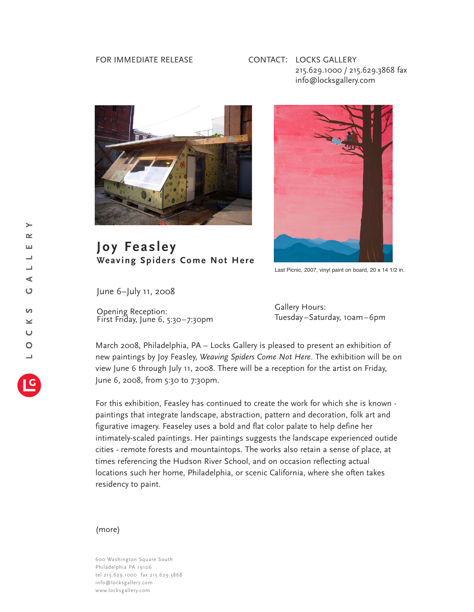## FOR IMMEDIATE RELEASE

## CONTACT: LOCKS GALLERY 215.629.1000 / 215.629.3868 fax info@locksgallery.com



## **Joy Feas ley Weaving Spider s Come Not Here**



Last Picnic, 2007, vinyl paint on board, 20 x 14 1/2 in.

June 6–July 11, 2008

Opening Reception: First Friday, June 6, 5:30–7:30pm Gallery Hours: Tuesday–Saturday, 10am–6pm

March 2008, Philadelphia, PA – Locks Gallery is pleased to present an exhibition of new paintings by Joy Feasley, *Weaving Spiders Come Not Here*. The exhibition will be on view June 6 through July 11, 2008. There will be a reception for the artist on Friday, June 6, 2008, from 5:30 to 7:30pm.

For this exhibition, Feasley has continued to create the work for which she is known paintings that integrate landscape, abstraction, pattern and decoration, folk art and figurative imagery. Feaseley uses a bold and flat color palate to help define her intimately-scaled paintings. Her paintings suggests the landscape experienced outide cities - remote forests and mountaintops. The works also retain a sense of place, at times referencing the Hudson River School, and on occasion reflecting actual locations such her home, Philadelphia, or scenic California, where she often takes residency to paint.

## (more)

600 Washington Square South Philadelphia PA 19106 tel 215.629.1000 fax 215.629.3868 info@locksgallery.com www.locksgallery.com

 $\geq$